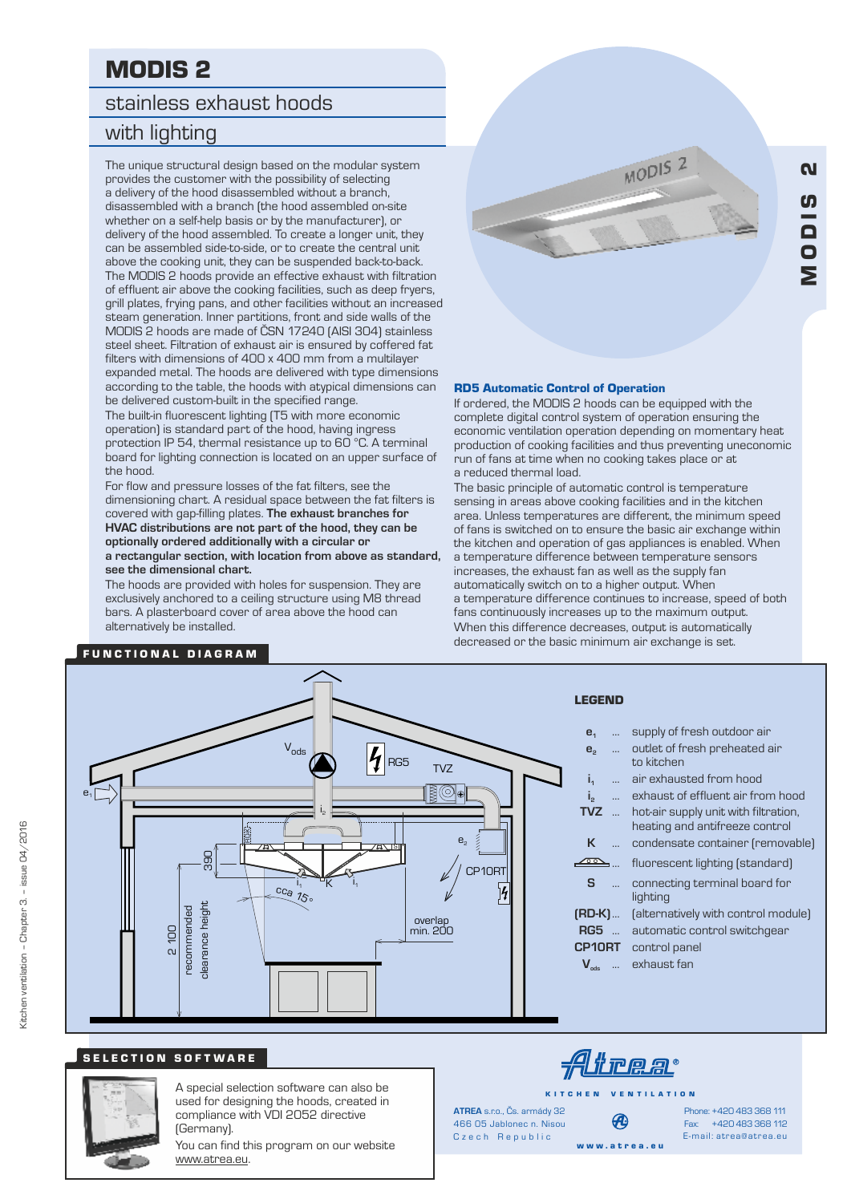# MODIS 2

# stainless exhaust hoods

# with lighting

The unique structural design based on the modular system provides the customer with the possibility of selecting a delivery of the hood disassembled without a branch, disassembled with a branch (the hood assembled on-site whether on a self-help basis or by the manufacturer), or delivery of the hood assembled. To create a longer unit, they can be assembled side-to-side, or to create the central unit above the cooking unit, they can be suspended back-to-back. The MODIS 2 hoods provide an effective exhaust with filtration of effluent air above the cooking facilities, such as deep fryers, grill plates, frying pans, and other facilities without an increased steam generation. Inner partitions, front and side walls of the MODIS 2 hoods are made of ČSN 17240 (AISI 304) stainless steel sheet. Filtration of exhaust air is ensured by coffered fat filters with dimensions of 400 x 400 mm from a multilayer expanded metal. The hoods are delivered with type dimensions according to the table, the hoods with atypical dimensions can be delivered custom-built in the specified range.

The built-in fluorescent lighting (T5 with more economic operation) is standard part of the hood, having ingress protection IP 54, thermal resistance up to 60 °C. A terminal board for lighting connection is located on an upper surface of the hood.

For flow and pressure losses of the fat filters, see the dimensioning chart. A residual space between the fat filters is covered with gap-filling plates. **The exhaust branches for HVAC distributions are not part of the hood, they can be optionally ordered additionally with a circular or a rectangular section, with location from above as standard, see the dimensional chart.**

The hoods are provided with holes for suspension. They are exclusively anchored to a ceiling structure using M8 thread bars. A plasterboard cover of area above the hood can alternatively be installed.



M $\overline{\mathsf{o}}$ 

<u>က</u><br>စ

 $\overline{\mathbf{a}}$ 

### RD5 Automatic Control of Operation

If ordered, the MODIS 2 hoods can be equipped with the complete digital control system of operation ensuring the economic ventilation operation depending on momentary heat production of cooking facilities and thus preventing uneconomic run of fans at time when no cooking takes place or at a reduced thermal load.

The basic principle of automatic control is temperature sensing in areas above cooking facilities and in the kitchen area. Unless temperatures are different, the minimum speed of fans is switched on to ensure the basic air exchange within the kitchen and operation of gas appliances is enabled. When a temperature difference between temperature sensors increases, the exhaust fan as well as the supply fan automatically switch on to a higher output. When a temperature difference continues to increase, speed of both fans continuously increases up to the maximum output. When this difference decreases, output is automatically decreased or the basic minimum air exchange is set.

### FUNCTIONAL DIAGRAM



## SELECTION SOFTWARE



A special selection software can also be used for designing the hoods, created in compliance with VDI 2052 directive (Germany).

You can find this program on our website www.atrea.eu.

<u>Atrea:</u>

K I T C H E N V E N T I L A T I O N

Czech Republic **ATREA** s.r.o., Čs. armády 32 466 05 Jablonec n. Nisou

Ð w w w . a t r e a . e u

Fax: +420 483 368 112 Phone: +420 483 368 111 E-mail: atrea@atrea.eu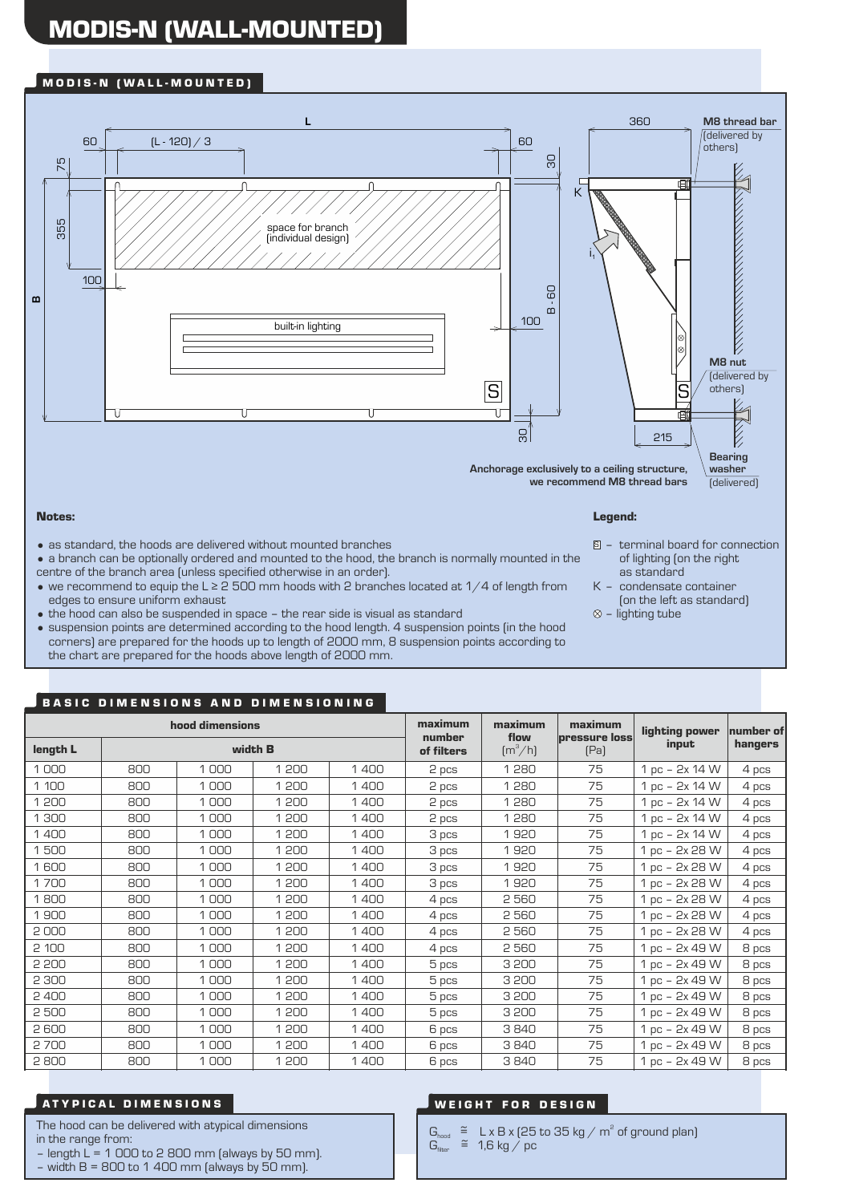# MODIS-N (WALL-MOUNTED)

## M O D I S - N ( W A L L - M O U N T E D )



- Notes:
- as standard, the hoods are delivered without mounted branches
- a branch can be optionally ordered and mounted to the hood, the branch is normally mounted in the centre of the branch area (unless specified otherwise in an order).
- we recommend to equip the L ≥ 2 500 mm hoods with 2 branches located at 1/4 of length from edges to ensure uniform exhaust
- the hood can also be suspended in space the rear side is visual as standard
- suspension points are determined according to the hood length. 4 suspension points (in the hood corners) are prepared for the hoods up to length of 2000 mm, 8 suspension points according to the chart are prepared for the hoods above length of 2000 mm.

### Legend:

- terminal board for connection S of lighting (on the right as standard
- K condensate container (on the left as standard)
- $\otimes$  lighting tube

# BASIC DIMENSIONS AND DIMENSIONING

| 69<br><b>MARIAL COMPARTMENT</b><br>$\mathbf{m}$<br>$\mathbf{m}$<br>100<br>built-in lighting<br>M8 nut<br>(delivered by<br>S<br>others)<br>ဥ္က<br>215<br><b>Bearing</b><br>washer<br>Anchorage exclusively to a ceiling structure,<br>we recommend M8 thread bars<br>(delivered)                                                                                                                                                                                                                                                                                                                                                                                                                                                                                                                                                                                                                                                      |            |                                                             |                |              |                      |                                      |                              |                                  |                      |  |  |  |  |  |  |
|--------------------------------------------------------------------------------------------------------------------------------------------------------------------------------------------------------------------------------------------------------------------------------------------------------------------------------------------------------------------------------------------------------------------------------------------------------------------------------------------------------------------------------------------------------------------------------------------------------------------------------------------------------------------------------------------------------------------------------------------------------------------------------------------------------------------------------------------------------------------------------------------------------------------------------------|------------|-------------------------------------------------------------|----------------|--------------|----------------------|--------------------------------------|------------------------------|----------------------------------|----------------------|--|--|--|--|--|--|
| Notes:                                                                                                                                                                                                                                                                                                                                                                                                                                                                                                                                                                                                                                                                                                                                                                                                                                                                                                                               | Legend:    |                                                             |                |              |                      |                                      |                              |                                  |                      |  |  |  |  |  |  |
| $\bullet$ as standard, the hoods are delivered without mounted branches<br>$\vert$ = terminal board for connection<br>• a branch can be optionally ordered and mounted to the hood, the branch is normally mounted in the<br>of lighting (on the right<br>centre of the branch area (unless specified otherwise in an order).<br>as standard<br>• we recommend to equip the L $\geq$ 2 500 mm hoods with 2 branches located at 1/4 of length from<br>K - condensate container<br>edges to ensure uniform exhaust<br>(on the left as standard)<br>• the hood can also be suspended in space - the rear side is visual as standard<br>$\otimes$ - lighting tube<br>• suspension points are determined according to the hood length. 4 suspension points (in the hood<br>corners) are prepared for the hoods up to length of 2000 mm, 8 suspension points according to<br>the chart are prepared for the hoods above length of 2000 mm. |            |                                                             |                |              |                      |                                      |                              |                                  |                      |  |  |  |  |  |  |
|                                                                                                                                                                                                                                                                                                                                                                                                                                                                                                                                                                                                                                                                                                                                                                                                                                                                                                                                      |            |                                                             |                |              |                      |                                      |                              |                                  |                      |  |  |  |  |  |  |
|                                                                                                                                                                                                                                                                                                                                                                                                                                                                                                                                                                                                                                                                                                                                                                                                                                                                                                                                      |            | <b>BASIC DIMENSIONS AND DIMENSIONING</b><br>hood dimensions |                |              | maximum              | maximum                              | maximum                      |                                  |                      |  |  |  |  |  |  |
| length L                                                                                                                                                                                                                                                                                                                                                                                                                                                                                                                                                                                                                                                                                                                                                                                                                                                                                                                             |            | width <b>B</b>                                              |                |              | number<br>of filters | flow<br>$\left[\frac{m^3}{h}\right]$ | <b>pressure loss</b><br>[Pa] | lighting power<br>input          | number of<br>hangers |  |  |  |  |  |  |
| 1000                                                                                                                                                                                                                                                                                                                                                                                                                                                                                                                                                                                                                                                                                                                                                                                                                                                                                                                                 | 800        | 1000                                                        | 1 200          | 1400         | 2 pcs                | 1280                                 | 75                           | 1 pc - 2x 14 W                   | 4 pcs                |  |  |  |  |  |  |
| 1 100                                                                                                                                                                                                                                                                                                                                                                                                                                                                                                                                                                                                                                                                                                                                                                                                                                                                                                                                | 800        | 1000                                                        | 1 200          | 1400         | 2 pcs                | 1280                                 | 75                           | 1 pc - 2x 14 W                   | 4 pcs                |  |  |  |  |  |  |
| 1 200                                                                                                                                                                                                                                                                                                                                                                                                                                                                                                                                                                                                                                                                                                                                                                                                                                                                                                                                | 800        | 1000                                                        | 1 200          | 1400         | 2 pcs                | 1280                                 | 75                           | 1 pc - 2x 14 W                   | 4 pcs                |  |  |  |  |  |  |
| 1 300                                                                                                                                                                                                                                                                                                                                                                                                                                                                                                                                                                                                                                                                                                                                                                                                                                                                                                                                | 800        | 1000                                                        | 1 200          | 1400         | 2 pcs                | 1280                                 | 75                           | 1 pc - 2x 14 W                   | 4 pcs                |  |  |  |  |  |  |
| 1400                                                                                                                                                                                                                                                                                                                                                                                                                                                                                                                                                                                                                                                                                                                                                                                                                                                                                                                                 | 800        | 1000                                                        | 1 200          | 1400         | 3 pcs                | 1920                                 | 75                           | 1 pc - 2x 14 W                   | 4 pcs                |  |  |  |  |  |  |
| 1500                                                                                                                                                                                                                                                                                                                                                                                                                                                                                                                                                                                                                                                                                                                                                                                                                                                                                                                                 | 800        | 1000                                                        | 1 200          | 1400         | 3 pcs                | 1920                                 | 75                           | 1 pc - 2x 28 W                   | 4 pcs                |  |  |  |  |  |  |
| 1600                                                                                                                                                                                                                                                                                                                                                                                                                                                                                                                                                                                                                                                                                                                                                                                                                                                                                                                                 | 800        | 1000                                                        | 1 200          | 1400         | 3 pcs                | 1920                                 | 75                           | 1 pc - 2x 28 W                   | 4 pcs                |  |  |  |  |  |  |
| 1700                                                                                                                                                                                                                                                                                                                                                                                                                                                                                                                                                                                                                                                                                                                                                                                                                                                                                                                                 | 800        | 1000                                                        | 1 200          | 1400         | 3 pcs                | 1920                                 | 75                           | 1 pc - 2x 28 W                   | 4 pcs                |  |  |  |  |  |  |
| 1800                                                                                                                                                                                                                                                                                                                                                                                                                                                                                                                                                                                                                                                                                                                                                                                                                                                                                                                                 | 800        | 1000                                                        | 1 200          | 1400         | 4 pcs                | 2 5 6 0                              | 75                           | 1 pc - 2x 28 W                   | 4 pcs                |  |  |  |  |  |  |
| 1900                                                                                                                                                                                                                                                                                                                                                                                                                                                                                                                                                                                                                                                                                                                                                                                                                                                                                                                                 | 800        | 1000                                                        | 1 200          | 1400         | 4 pcs                | 2 5 6 0                              | 75                           | 1 pc - 2x 28 W                   | 4 pcs                |  |  |  |  |  |  |
| 2000                                                                                                                                                                                                                                                                                                                                                                                                                                                                                                                                                                                                                                                                                                                                                                                                                                                                                                                                 | 800        | 1000                                                        | 1 200          | 1 400        | 4 pcs                | 2 560                                | 75                           | 1 pc – 2x 28 W                   | 4 pcs                |  |  |  |  |  |  |
| 2 100                                                                                                                                                                                                                                                                                                                                                                                                                                                                                                                                                                                                                                                                                                                                                                                                                                                                                                                                | 800        | 1000                                                        | 1 200          | 1400         | 4 pcs                | 2 5 6 0                              | 75                           | 1 pc - 2x 49 W                   | 8 pcs                |  |  |  |  |  |  |
| 2 200                                                                                                                                                                                                                                                                                                                                                                                                                                                                                                                                                                                                                                                                                                                                                                                                                                                                                                                                | 800        | 1000                                                        | 1 200          | 1400         | 5 pcs                | 3 200                                | 75                           | 1 pc - 2x 49 W                   | 8 pcs                |  |  |  |  |  |  |
| 2 3 0 0                                                                                                                                                                                                                                                                                                                                                                                                                                                                                                                                                                                                                                                                                                                                                                                                                                                                                                                              | 800        | 1000                                                        | 1 200          | 1400         | 5 pcs                | 3 200                                | 75                           | 1 pc - 2x 49 W                   | 8 pcs                |  |  |  |  |  |  |
| 2 4 0 0                                                                                                                                                                                                                                                                                                                                                                                                                                                                                                                                                                                                                                                                                                                                                                                                                                                                                                                              | 800        | 1000                                                        | 1 200          | 1400         | 5 pcs                | 3 200                                | 75                           | 1 pc - 2x 49 W                   | 8 pcs                |  |  |  |  |  |  |
| 2 500                                                                                                                                                                                                                                                                                                                                                                                                                                                                                                                                                                                                                                                                                                                                                                                                                                                                                                                                | 800        | 1000                                                        | 1 200          | 1400         | 5 pcs                | 3 200                                | 75                           | 1 pc - 2x 49 W                   | 8 pcs                |  |  |  |  |  |  |
| 2600                                                                                                                                                                                                                                                                                                                                                                                                                                                                                                                                                                                                                                                                                                                                                                                                                                                                                                                                 | 800        | 1000                                                        | 1 200          | 1400         | 6 pcs                | 3840                                 | 75                           | 1 pc - 2x 49 W                   | 8 pcs                |  |  |  |  |  |  |
| 2700<br>2800                                                                                                                                                                                                                                                                                                                                                                                                                                                                                                                                                                                                                                                                                                                                                                                                                                                                                                                         | 800<br>800 | 1000<br>1000                                                | 1 200<br>1 200 | 1400<br>1400 | 6 pcs<br>6 pcs       | 3840<br>3840                         | 75<br>75                     | 1 pc - 2x 49 W<br>1 pc - 2x 49 W | 8 pcs<br>8 pcs       |  |  |  |  |  |  |

# A TYPICAL DIMENSIONS AND RESIGN A LOCAL CONSUMER A LOCAL CONSUMING A LOCAL CONSUMING A LOCAL CONSUMER AND RESIGN

The hood can be delivered with atypical dimensions in the range from:

– length  $L = 1000$  to 2 800 mm (always by 50 mm).

– width B = 800 to 1 400 mm (always by 50 mm).

 $G_{\text{hood}} \cong L \times B \times (25 \text{ to } 35 \text{ kg} / \text{m}^2 \text{ of ground plan})$  $G_{\text{hood}}$   $\cong$   $L \times B \times I \times C$ <br> $G_{\text{fibec}}$   $\cong$  1,6 kg / pc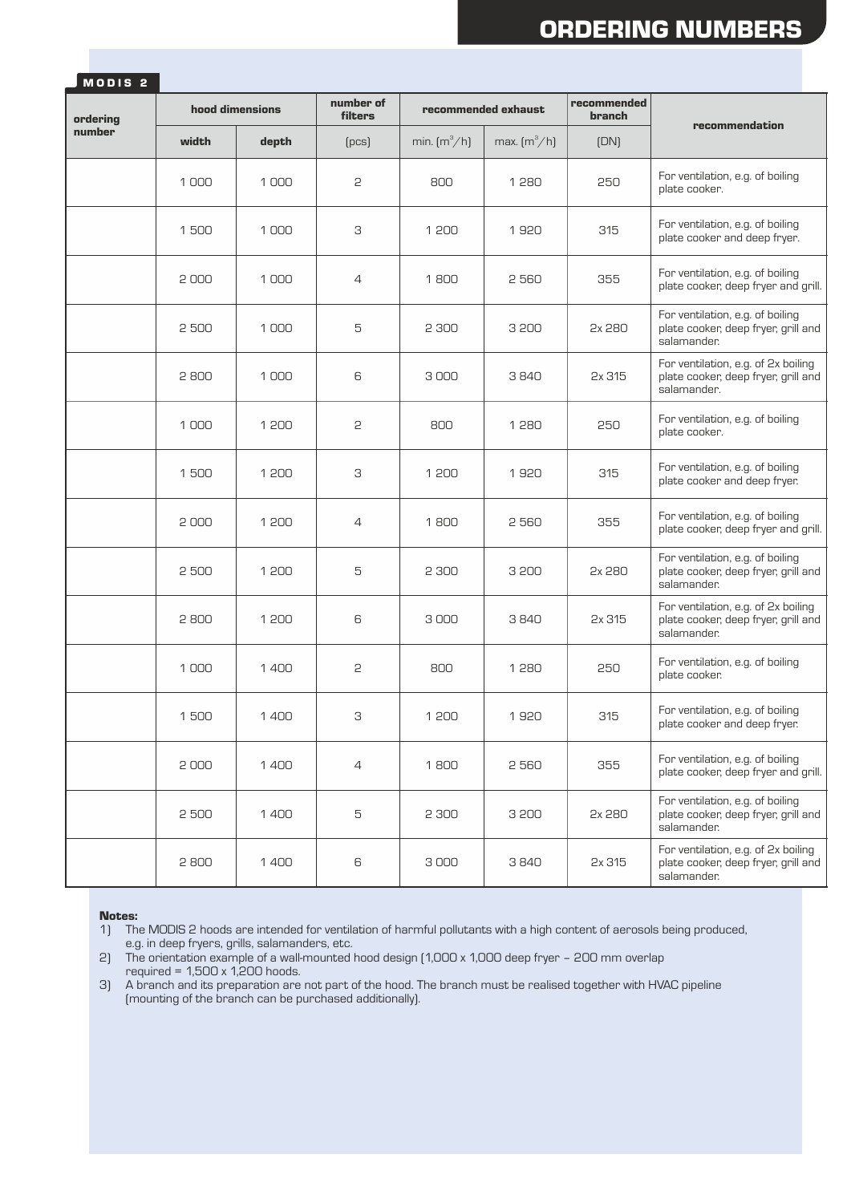# ORDERING NUMBERS

| MODIS <sub>2</sub> |                 |       |                      |                                   |                                   |                              |                                                                                           |  |
|--------------------|-----------------|-------|----------------------|-----------------------------------|-----------------------------------|------------------------------|-------------------------------------------------------------------------------------------|--|
| ordering<br>number | hood dimensions |       | number of<br>filters | recommended exhaust               |                                   | recommended<br><b>branch</b> | recommendation                                                                            |  |
|                    | width           | depth | [PCS]                | min. $\left[\frac{m^3}{h}\right]$ | max. $\left[\frac{m^3}{h}\right]$ | (DN)                         |                                                                                           |  |
|                    | 1000            | 1000  | 2                    | 800                               | 1280                              | 250                          | For ventilation, e.g. of boiling<br>plate cooker.                                         |  |
|                    | 1500            | 1000  | З                    | 1 200                             | 1920                              | 315                          | For ventilation, e.g. of boiling<br>plate cooker and deep fryer.                          |  |
|                    | 2000            | 1000  | $\overline{4}$       | 1800                              | 2560                              | 355                          | For ventilation, e.g. of boiling<br>plate cooker, deep fryer and grill.                   |  |
|                    | 2500            | 1000  | 5                    | 2 300                             | 3 200                             | 2x 280                       | For ventilation, e.g. of boiling<br>plate cooker, deep fryer, grill and<br>salamander.    |  |
|                    | 2800            | 1000  | 6                    | 3000                              | 3840                              | 2x 315                       | For ventilation, e.g. of 2x boiling<br>plate cooker, deep fryer, grill and<br>salamander. |  |
|                    | 1000            | 1 200 | 2                    | 800                               | 1280                              | 250                          | For ventilation, e.g. of boiling<br>plate cooker.                                         |  |
|                    | 1500            | 1 200 | З                    | 1 200                             | 1920                              | 315                          | For ventilation, e.g. of boiling<br>plate cooker and deep fryer.                          |  |
|                    | 2000            | 1 200 | $\overline{4}$       | 1800                              | 2560                              | 355                          | For ventilation, e.g. of boiling<br>plate cooker, deep fryer and grill.                   |  |
|                    | 2500            | 1 200 | 5                    | 2 300                             | 3 200                             | 2x 280                       | For ventilation, e.g. of boiling<br>plate cooker, deep fryer, grill and<br>salamander.    |  |
|                    | 2800            | 1 200 | 6                    | 3000                              | 3840                              | 2x 315                       | For ventilation, e.g. of 2x boiling<br>plate cooker, deep fryer, grill and<br>salamander. |  |
|                    | 1000            | 1400  | 2                    | 800                               | 1280                              | 250                          | For ventilation, e.g. of boiling<br>plate cooker.                                         |  |
|                    | 1500            | 1400  | З                    | 1 200                             | 1920                              | 315                          | For ventilation, e.g. of boiling<br>plate cooker and deep fryer.                          |  |
|                    | 2000            | 1400  | $\overline{4}$       | 1800                              | 2560                              | 355                          | For ventilation, e.g. of boiling<br>plate cooker, deep fryer and grill.                   |  |
|                    | 2 500           | 1400  | 5                    | 2 300                             | 3 200                             | 2x 280                       | For ventilation, e.g. of boiling<br>plate cooker, deep fryer, grill and<br>salamander.    |  |
|                    | 2800            | 1400  | 6                    | 3000                              | 3840                              | 2x 315                       | For ventilation, e.g. of 2x boiling<br>plate cooker, deep fryer, grill and<br>salamander. |  |

### Notes:

1) The MODIS 2 hoods are intended for ventilation of harmful pollutants with a high content of aerosols being produced, e.g. in deep fryers, grills, salamanders, etc.

2) The orientation example of a wall-mounted hood design (1,000 x 1,000 deep fryer – 200 mm overlap required =  $1,500 \times 1,200$  hoods.

3) A branch and its preparation are not part of the hood. The branch must be realised together with HVAC pipeline (mounting of the branch can be purchased additionally).